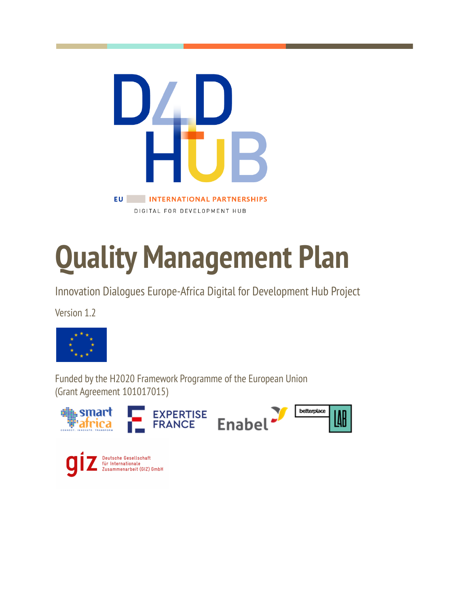

# **Quality Management Plan**

Innovation Dialogues Europe-Africa Digital for Development Hub Project

Version 1.2



Funded bythe H2020 Framework Programme of the European Union (Grant Agreement 101017015)



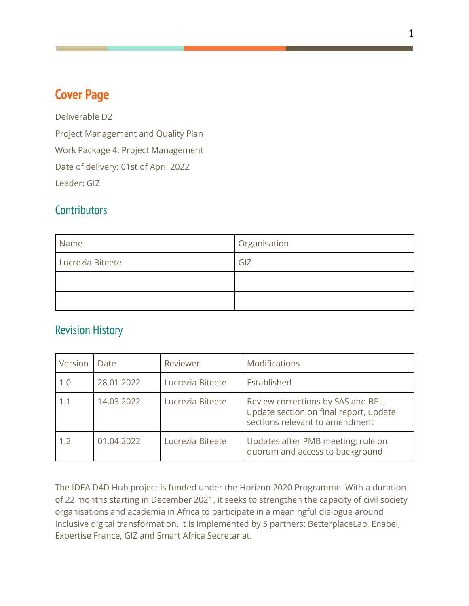# <span id="page-1-0"></span>**Cover Page**

Deliverable D2 Project Management and Quality Plan Work Package 4: Project Management Date of delivery: 01st of April 2022 Leader: GIZ

#### <span id="page-1-1"></span>**Contributors**

| Name             | Organisation |  |
|------------------|--------------|--|
| Lucrezia Biteete | GIZ          |  |
|                  |              |  |
|                  |              |  |

#### <span id="page-1-2"></span>Revision History

| Version | Date       | Reviewer         | Modifications                                                                                                  |
|---------|------------|------------------|----------------------------------------------------------------------------------------------------------------|
| 1.0     | 28.01.2022 | Lucrezia Biteete | Established                                                                                                    |
| 1.1     | 14.03.2022 | Lucrezia Biteete | Review corrections by SAS and BPL,<br>update section on final report, update<br>sections relevant to amendment |
| 1.2     | 01.04.2022 | Lucrezia Biteete | Updates after PMB meeting; rule on<br>quorum and access to background                                          |

The IDEA D4D Hub project is funded under the Horizon 2020 Programme. With a duration of 22 months starting in December 2021, it seeks to strengthen the capacity of civil society organisations and academia in Africa to participate in a meaningful dialogue around inclusive digital transformation. It is implemented by 5 partners: BetterplaceLab, Enabel, Expertise France, GIZ and Smart Africa Secretariat.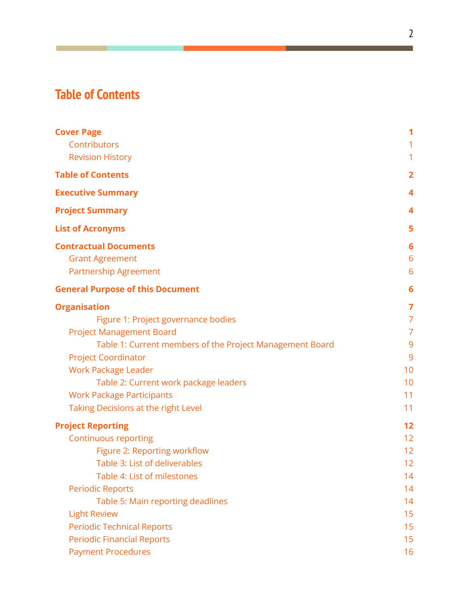# <span id="page-2-0"></span>**Table of Contents**

| <b>Cover Page</b>                                        | 1               |
|----------------------------------------------------------|-----------------|
| Contributors                                             | 1               |
| <b>Revision History</b>                                  |                 |
| <b>Table of Contents</b>                                 | $\overline{2}$  |
| <b>Executive Summary</b>                                 | 4               |
| <b>Project Summary</b>                                   | 4               |
| <b>List of Acronyms</b>                                  | 5               |
| <b>Contractual Documents</b>                             | $6\phantom{1}6$ |
| <b>Grant Agreement</b>                                   | 6               |
| <b>Partnership Agreement</b>                             | 6               |
| <b>General Purpose of this Document</b>                  | 6               |
| <b>Organisation</b>                                      | $\overline{7}$  |
| Figure 1: Project governance bodies                      | $\overline{7}$  |
| <b>Project Management Board</b>                          | $\overline{7}$  |
| Table 1: Current members of the Project Management Board | 9               |
| <b>Project Coordinator</b>                               | 9               |
| <b>Work Package Leader</b>                               | 10              |
| Table 2: Current work package leaders                    | 10              |
| <b>Work Package Participants</b>                         | 11              |
| Taking Decisions at the right Level                      | 11              |
| <b>Project Reporting</b>                                 | 12              |
| <b>Continuous reporting</b>                              | 12              |
| Figure 2: Reporting workflow                             | 12              |
| Table 3: List of deliverables                            | 12              |
| Table 4: List of milestones                              | 14              |
| <b>Periodic Reports</b>                                  | 14              |
| Table 5: Main reporting deadlines                        | 14              |
| <b>Light Review</b>                                      | 15              |
| <b>Periodic Technical Reports</b>                        | 15              |
| <b>Periodic Financial Reports</b>                        | 15              |
| <b>Payment Procedures</b>                                | 16              |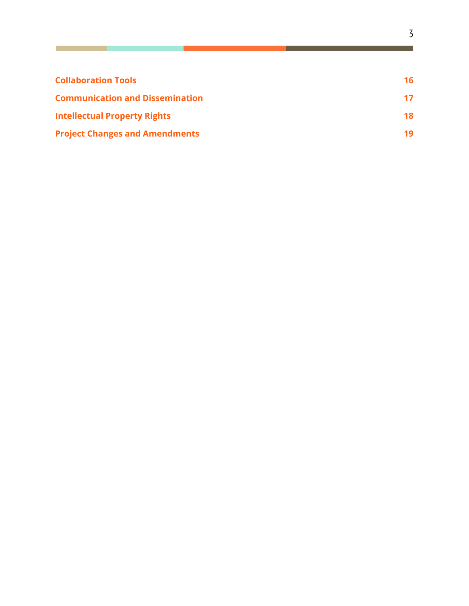| <b>Collaboration Tools</b>             | 16 |
|----------------------------------------|----|
| <b>Communication and Dissemination</b> | 17 |
| <b>Intellectual Property Rights</b>    | 18 |
| <b>Project Changes and Amendments</b>  | 19 |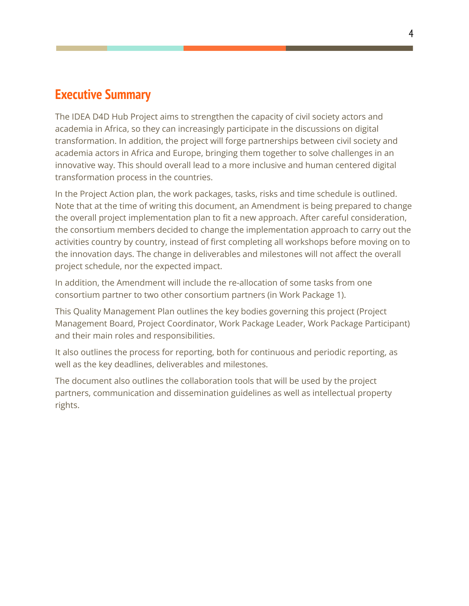# <span id="page-4-0"></span>**Executive Summary**

The IDEA D4D Hub Project aims to strengthen the capacity of civil society actors and academia in Africa, so they can increasingly participate in the discussions on digital transformation. In addition, the project will forge partnerships between civil society and academia actors in Africa and Europe, bringing them together to solve challenges in an innovative way. This should overall lead to a more inclusive and human centered digital transformation process in the countries.

In the Project Action plan, the work packages, tasks, risks and time schedule is outlined. Note that at the time of writing this document, an Amendment is being prepared to change the overall project implementation plan to fit a new approach. After careful consideration, the consortium members decided to change the implementation approach to carry out the activities country by country, instead of first completing all workshops before moving on to the innovation days. The change in deliverables and milestones will not affect the overall project schedule, nor the expected impact.

In addition, the Amendment will include the re-allocation of some tasks from one consortium partner to two other consortium partners (in Work Package 1).

This Quality Management Plan outlines the key bodies governing this project (Project Management Board, Project Coordinator, Work Package Leader, Work Package Participant) and their main roles and responsibilities.

It also outlines the process for reporting, both for continuous and periodic reporting, as well as the key deadlines, deliverables and milestones.

The document also outlines the collaboration tools that will be used by the project partners, communication and dissemination guidelines as well as intellectual property rights.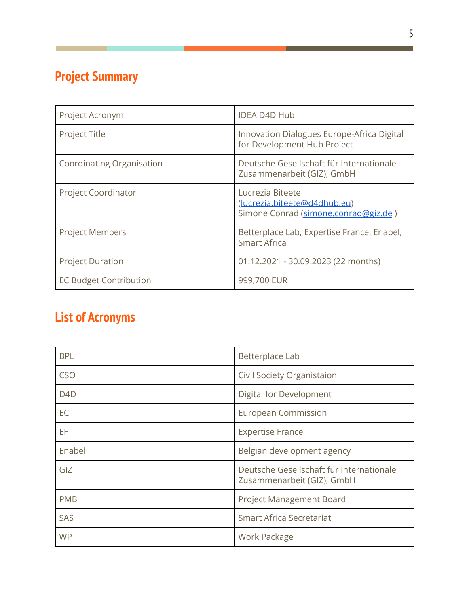# <span id="page-5-0"></span>**Project Summary**

| Project Acronym                  | <b>IDEA D4D Hub</b>                                                                      |
|----------------------------------|------------------------------------------------------------------------------------------|
| <b>Project Title</b>             | Innovation Dialogues Europe-Africa Digital<br>for Development Hub Project                |
| <b>Coordinating Organisation</b> | Deutsche Gesellschaft für Internationale<br>Zusammenarbeit (GIZ), GmbH                   |
| <b>Project Coordinator</b>       | Lucrezia Biteete<br>(lucrezia.biteete@d4dhub.eu)<br>Simone Conrad (simone.conrad@giz.de) |
| <b>Project Members</b>           | Betterplace Lab, Expertise France, Enabel,<br>Smart Africa                               |
| <b>Project Duration</b>          | 01.12.2021 - 30.09.2023 (22 months)                                                      |
| <b>EC Budget Contribution</b>    | 999,700 EUR                                                                              |

# <span id="page-5-1"></span>**List of Acronyms**

| <b>BPL</b>       | Betterplace Lab                                                        |
|------------------|------------------------------------------------------------------------|
| <b>CSO</b>       | Civil Society Organistaion                                             |
| D <sub>4</sub> D | Digital for Development                                                |
| EC               | <b>European Commission</b>                                             |
| EF               | <b>Expertise France</b>                                                |
| Enabel           | Belgian development agency                                             |
| GIZ              | Deutsche Gesellschaft für Internationale<br>Zusammenarbeit (GIZ), GmbH |
| <b>PMB</b>       | <b>Project Management Board</b>                                        |
| SAS              | <b>Smart Africa Secretariat</b>                                        |
| <b>WP</b>        | Work Package                                                           |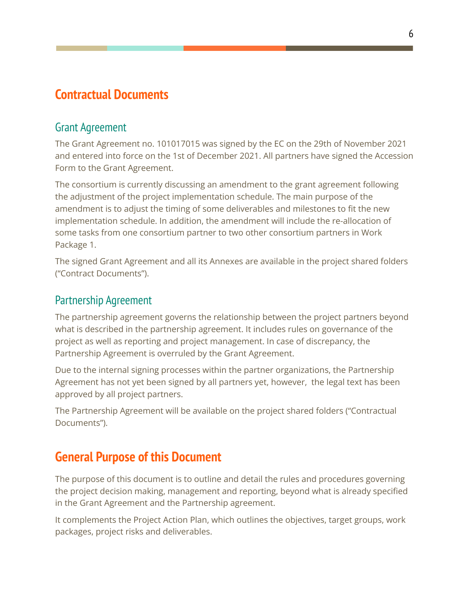# <span id="page-6-0"></span>**Contractual Documents**

#### <span id="page-6-1"></span>Grant Agreement

The Grant Agreement no. 101017015 was signed by the EC on the 29th of November 2021 and entered into force on the 1st of December 2021. All partners have signed the Accession Form to the Grant Agreement.

The consortium is currently discussing an amendment to the grant agreement following the adjustment of the project implementation schedule. The main purpose of the amendment is to adjust the timing of some deliverables and milestones to fit the new implementation schedule. In addition, the amendment will include the re-allocation of some tasks from one consortium partner to two other consortium partners in Work Package 1.

The signed Grant Agreement and all its Annexes are available in the project shared folders ("Contract Documents").

#### <span id="page-6-2"></span>Partnership Agreement

The partnership agreement governs the relationship between the project partners beyond what is described in the partnership agreement. It includes rules on governance of the project as well as reporting and project management. In case of discrepancy, the Partnership Agreement is overruled by the Grant Agreement.

Due to the internal signing processes within the partner organizations, the Partnership Agreement has not yet been signed by all partners yet, however, the legal text has been approved by all project partners.

The Partnership Agreement will be available on the project shared folders ("Contractual Documents").

# <span id="page-6-3"></span>**General Purpose of this Document**

The purpose of this document is to outline and detail the rules and procedures governing the project decision making, management and reporting, beyond what is already specified in the Grant Agreement and the Partnership agreement.

It complements the Project Action Plan, which outlines the objectives, target groups, work packages, project risks and deliverables.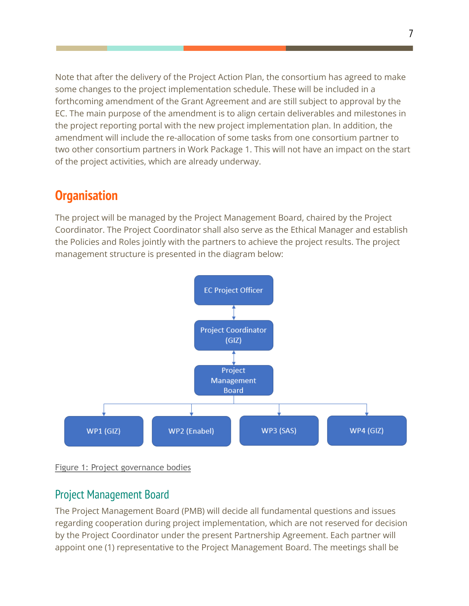Note that after the delivery of the Project Action Plan, the consortium has agreed to make some changes to the project implementation schedule. These will be included in a forthcoming amendment of the Grant Agreement and are still subject to approval by the EC. The main purpose of the amendment is to align certain deliverables and milestones in the project reporting portal with the new project implementation plan. In addition, the amendment will include the re-allocation of some tasks from one consortium partner to two other consortium partners in Work Package 1. This will not have an impact on the start of the project activities, which are already underway.

# <span id="page-7-0"></span>**Organisation**

The project will be managed by the Project Management Board, chaired by the Project Coordinator. The Project Coordinator shall also serve as the Ethical Manager and establish the Policies and Roles jointly with the partners to achieve the project results. The project management structure is presented in the diagram below:



<span id="page-7-2"></span><span id="page-7-1"></span>Figure 1: Project governance bodies

#### Project Management Board

The Project Management Board (PMB) will decide all fundamental questions and issues regarding cooperation during project implementation, which are not reserved for decision by the Project Coordinator under the present Partnership Agreement. Each partner will appoint one (1) representative to the Project Management Board. The meetings shall be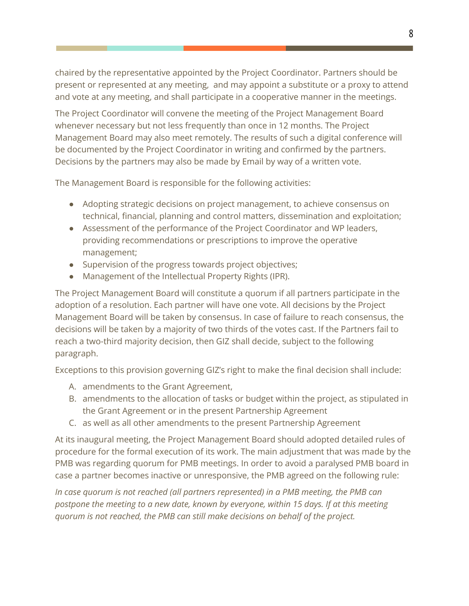chaired by the representative appointed by the Project Coordinator. Partners should be present or represented at any meeting, and may appoint a substitute or a proxy to attend and vote at any meeting, and shall participate in a cooperative manner in the meetings.

The Project Coordinator will convene the meeting of the Project Management Board whenever necessary but not less frequently than once in 12 months. The Project Management Board may also meet remotely. The results of such a digital conference will be documented by the Project Coordinator in writing and confirmed by the partners. Decisions by the partners may also be made by Email by way of a written vote.

The Management Board is responsible for the following activities:

- Adopting strategic decisions on project management, to achieve consensus on technical, financial, planning and control matters, dissemination and exploitation;
- Assessment of the performance of the Project Coordinator and WP leaders, providing recommendations or prescriptions to improve the operative management;
- Supervision of the progress towards project objectives;
- Management of the Intellectual Property Rights (IPR).

The Project Management Board will constitute a quorum if all partners participate in the adoption of a resolution. Each partner will have one vote. All decisions by the Project Management Board will be taken by consensus. In case of failure to reach consensus, the decisions will be taken by a majority of two thirds of the votes cast. If the Partners fail to reach a two-third majority decision, then GIZ shall decide, subject to the following paragraph.

Exceptions to this provision governing GIZ's right to make the final decision shall include:

- A. amendments to the Grant Agreement,
- B. amendments to the allocation of tasks or budget within the project, as stipulated in the Grant Agreement or in the present Partnership Agreement
- C. as well as all other amendments to the present Partnership Agreement

At its inaugural meeting, the Project Management Board should adopted detailed rules of procedure for the formal execution of its work. The main adjustment that was made by the PMB was regarding quorum for PMB meetings. In order to avoid a paralysed PMB board in case a partner becomes inactive or unresponsive, the PMB agreed on the following rule:

*In case quorum is not reached (all partners represented) in a PMB meeting, the PMB can postpone the meeting to a new date, known by everyone, within 15 days. If at this meeting quorum is not reached, the PMB can still make decisions on behalf of the project.*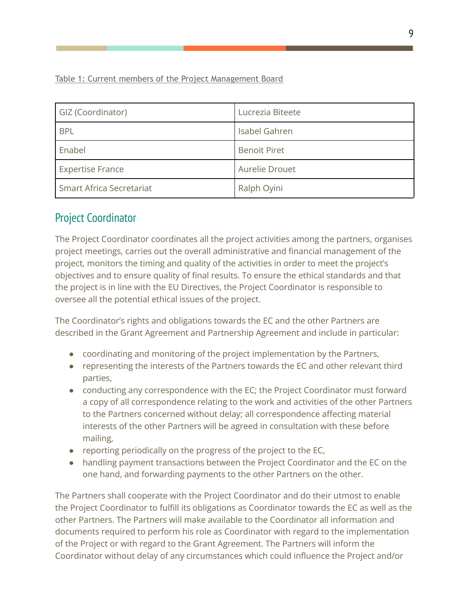<span id="page-9-0"></span>Table 1: Current members of the Project Management Board

| GIZ (Coordinator)               | Lucrezia Biteete    |  |
|---------------------------------|---------------------|--|
| <b>BPL</b>                      | Isabel Gahren       |  |
| Enabel                          | <b>Benoit Piret</b> |  |
| <b>Expertise France</b>         | Aurelie Drouet      |  |
| <b>Smart Africa Secretariat</b> | Ralph Oyini         |  |

## <span id="page-9-1"></span>Project Coordinator

The Project Coordinator coordinates all the project activities among the partners, organises project meetings, carries out the overall administrative and financial management of the project, monitors the timing and quality of the activities in order to meet the project's objectives and to ensure quality of final results. To ensure the ethical standards and that the project is in line with the EU Directives, the Project Coordinator is responsible to oversee all the potential ethical issues of the project.

The Coordinator's rights and obligations towards the EC and the other Partners are described in the Grant Agreement and Partnership Agreement and include in particular:

- coordinating and monitoring of the project implementation by the Partners,
- representing the interests of the Partners towards the EC and other relevant third parties,
- conducting any correspondence with the EC; the Project Coordinator must forward a copy of all correspondence relating to the work and activities of the other Partners to the Partners concerned without delay; all correspondence affecting material interests of the other Partners will be agreed in consultation with these before mailing,
- reporting periodically on the progress of the project to the EC,
- handling payment transactions between the Project Coordinator and the EC on the one hand, and forwarding payments to the other Partners on the other.

The Partners shall cooperate with the Project Coordinator and do their utmost to enable the Project Coordinator to fulfill its obligations as Coordinator towards the EC as well as the other Partners. The Partners will make available to the Coordinator all information and documents required to perform his role as Coordinator with regard to the implementation of the Project or with regard to the Grant Agreement. The Partners will inform the Coordinator without delay of any circumstances which could influence the Project and/or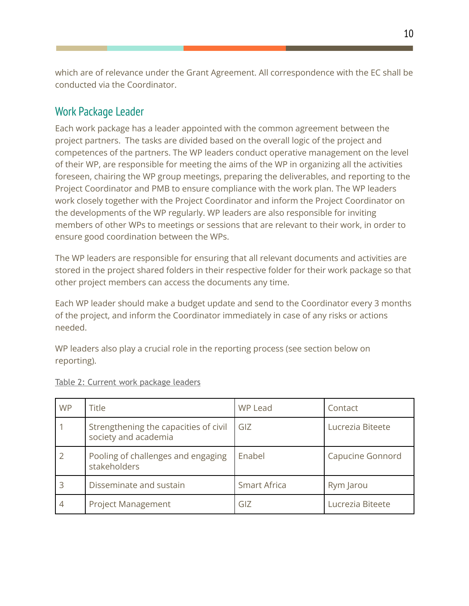which are of relevance under the Grant Agreement. All correspondence with the EC shall be conducted via the Coordinator.

#### <span id="page-10-0"></span>Work Package Leader

Each work package has a leader appointed with the common agreement between the project partners. The tasks are divided based on the overall logic of the project and competences of the partners. The WP leaders conduct operative management on the level of their WP, are responsible for meeting the aims of the WP in organizing all the activities foreseen, chairing the WP group meetings, preparing the deliverables, and reporting to the Project Coordinator and PMB to ensure compliance with the work plan. The WP leaders work closely together with the Project Coordinator and inform the Project Coordinator on the developments of the WP regularly. WP leaders are also responsible for inviting members of other WPs to meetings or sessions that are relevant to their work, in order to ensure good coordination between the WPs.

The WP leaders are responsible for ensuring that all relevant documents and activities are stored in the project shared folders in their respective folder for their work package so that other project members can access the documents any time.

Each WP leader should make a budget update and send to the Coordinator every 3 months of the project, and inform the Coordinator immediately in case of any risks or actions needed.

WP leaders also play a crucial role in the reporting process (see section below on reporting).

| <b>WP</b>      | <b>Title</b>                                                  | WP Lead             | Contact          |
|----------------|---------------------------------------------------------------|---------------------|------------------|
|                | Strengthening the capacities of civil<br>society and academia | GIZ                 | Lucrezia Biteete |
|                | Pooling of challenges and engaging<br>stakeholders            | Enabel              | Capucine Gonnord |
|                | Disseminate and sustain                                       | <b>Smart Africa</b> | Rym Jarou        |
| $\overline{4}$ | <b>Project Management</b>                                     | GIZ                 | Lucrezia Biteete |

#### <span id="page-10-1"></span>Table 2: Current work package leaders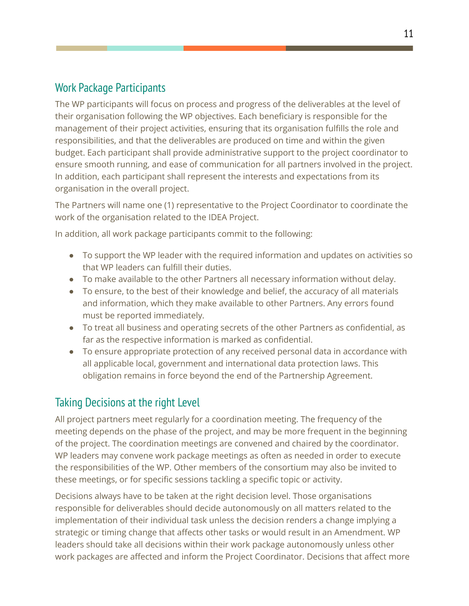### <span id="page-11-0"></span>Work Package Participants

The WP participants will focus on process and progress of the deliverables at the level of their organisation following the WP objectives. Each beneficiary is responsible for the management of their project activities, ensuring that its organisation fulfills the role and responsibilities, and that the deliverables are produced on time and within the given budget. Each participant shall provide administrative support to the project coordinator to ensure smooth running, and ease of communication for all partners involved in the project. In addition, each participant shall represent the interests and expectations from its organisation in the overall project.

The Partners will name one (1) representative to the Project Coordinator to coordinate the work of the organisation related to the IDEA Project.

In addition, all work package participants commit to the following:

- To support the WP leader with the required information and updates on activities so that WP leaders can fulfill their duties.
- To make available to the other Partners all necessary information without delay.
- To ensure, to the best of their knowledge and belief, the accuracy of all materials and information, which they make available to other Partners. Any errors found must be reported immediately.
- To treat all business and operating secrets of the other Partners as confidential, as far as the respective information is marked as confidential.
- To ensure appropriate protection of any received personal data in accordance with all applicable local, government and international data protection laws. This obligation remains in force beyond the end of the Partnership Agreement.

#### <span id="page-11-1"></span>Taking Decisions at the right Level

All project partners meet regularly for a coordination meeting. The frequency of the meeting depends on the phase of the project, and may be more frequent in the beginning of the project. The coordination meetings are convened and chaired by the coordinator. WP leaders may convene work package meetings as often as needed in order to execute the responsibilities of the WP. Other members of the consortium may also be invited to these meetings, or for specific sessions tackling a specific topic or activity.

Decisions always have to be taken at the right decision level. Those organisations responsible for deliverables should decide autonomously on all matters related to the implementation of their individual task unless the decision renders a change implying a strategic or timing change that affects other tasks or would result in an Amendment. WP leaders should take all decisions within their work package autonomously unless other work packages are affected and inform the Project Coordinator. Decisions that affect more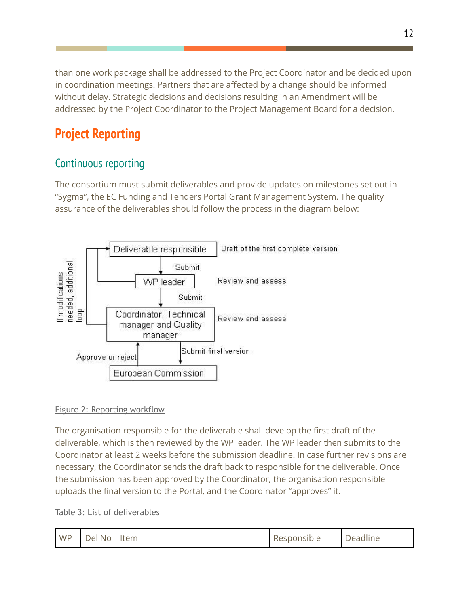than one work package shall be addressed to the Project Coordinator and be decided upon in coordination meetings. Partners that are affected by a change should be informed without delay. Strategic decisions and decisions resulting in an Amendment will be addressed by the Project Coordinator to the Project Management Board for a decision.

# <span id="page-12-0"></span>**Project Reporting**

# <span id="page-12-1"></span>Continuous reporting

The consortium must submit deliverables and provide updates on milestones set out in "Sygma", the EC Funding and Tenders Portal Grant Management System. The quality assurance of the deliverables should follow the process in the diagram below:



#### <span id="page-12-2"></span>Figure 2: Reporting workflow

The organisation responsible for the deliverable shall develop the first draft of the deliverable, which is then reviewed by the WP leader. The WP leader then submits to the Coordinator at least 2 weeks before the submission deadline. In case further revisions are necessary, the Coordinator sends the draft back to responsible for the deliverable. Once the submission has been approved by the Coordinator, the organisation responsible uploads the final version to the Portal, and the Coordinator "approves" it.

#### <span id="page-12-3"></span>Table 3: List of deliverables

| <b>WP</b> | Del No   Item |  | Responsible | Deadline |
|-----------|---------------|--|-------------|----------|
|-----------|---------------|--|-------------|----------|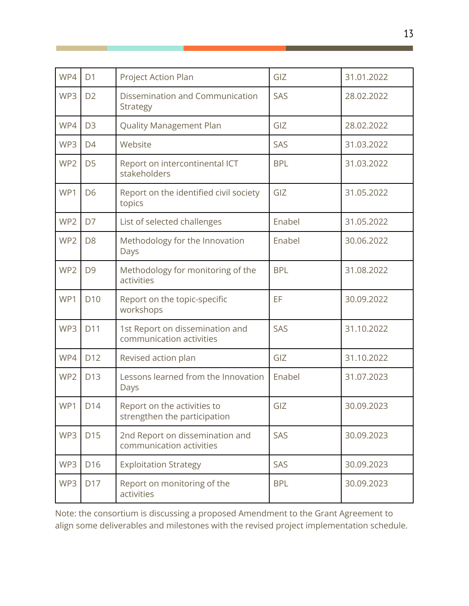| WP4             | D <sub>1</sub>                                                     | Project Action Plan                                         | GIZ        | 31.01.2022 |
|-----------------|--------------------------------------------------------------------|-------------------------------------------------------------|------------|------------|
| WP3             | D <sub>2</sub>                                                     | Dissemination and Communication<br>Strategy                 | SAS        | 28.02.2022 |
| WP4             | D <sub>3</sub>                                                     | <b>Quality Management Plan</b>                              | GIZ        | 28.02.2022 |
| WP3             | D <sub>4</sub>                                                     | Website                                                     | SAS        | 31.03.2022 |
| WP <sub>2</sub> | D <sub>5</sub>                                                     | Report on intercontinental ICT<br>stakeholders              | <b>BPL</b> | 31.03.2022 |
| WP1             | D <sub>6</sub>                                                     | Report on the identified civil society<br>topics            | GIZ        | 31.05.2022 |
| WP2             | D7                                                                 | List of selected challenges                                 | Enabel     | 31.05.2022 |
| WP2             | D <sub>8</sub><br>Methodology for the Innovation<br>Days           |                                                             | Enabel     | 30.06.2022 |
| WP2             | D <sub>9</sub>                                                     | Methodology for monitoring of the<br>activities             | <b>BPL</b> | 31.08.2022 |
| WP1             | D <sub>10</sub>                                                    | Report on the topic-specific<br>workshops                   | EF         | 30.09.2022 |
| WP3             | D11                                                                | 1st Report on dissemination and<br>communication activities | SAS        | 31.10.2022 |
| WP4             | D12                                                                | Revised action plan                                         | GIZ        | 31.10.2022 |
| WP2             | Lessons learned from the Innovation<br>D13<br>Days                 |                                                             | Enabel     | 31.07.2023 |
| WP1             | D14<br>Report on the activities to<br>strengthen the participation |                                                             | GIZ        | 30.09.2023 |
| WP3             | D15                                                                | 2nd Report on dissemination and<br>communication activities | SAS        | 30.09.2023 |
| WP3             | D <sub>16</sub>                                                    | <b>Exploitation Strategy</b>                                | SAS        | 30.09.2023 |
| WP3             | Report on monitoring of the<br>D17<br>activities                   |                                                             | <b>BPL</b> | 30.09.2023 |

Note: the consortium is discussing a proposed Amendment to the Grant Agreement to align some deliverables and milestones with the revised project implementation schedule.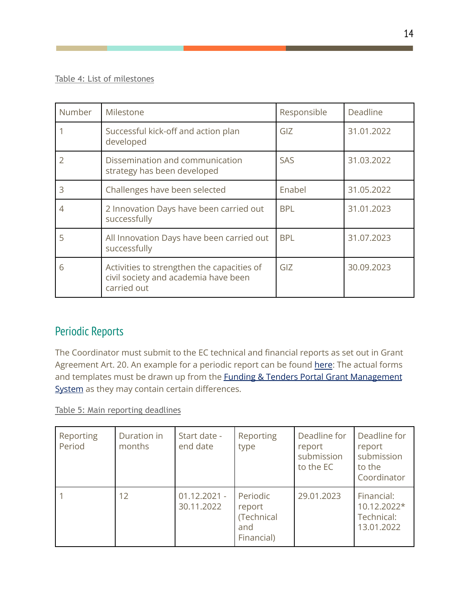#### <span id="page-14-0"></span>Table 4: List of milestones

| Number | Milestone                                                                                         | Responsible | Deadline   |
|--------|---------------------------------------------------------------------------------------------------|-------------|------------|
|        | Successful kick-off and action plan<br>developed                                                  | GIZ         | 31.01.2022 |
|        | Dissemination and communication<br>strategy has been developed                                    | <b>SAS</b>  | 31.03.2022 |
| 3      | Challenges have been selected                                                                     | Enabel      | 31.05.2022 |
|        | 2 Innovation Days have been carried out<br>successfully                                           | <b>BPL</b>  | 31.01.2023 |
| 5      | All Innovation Days have been carried out<br>successfully                                         | <b>BPL</b>  | 31.07.2023 |
| 6      | Activities to strengthen the capacities of<br>civil society and academia have been<br>carried out | GIZ         | 30.09.2023 |

#### <span id="page-14-1"></span>Periodic Reports

The Coordinator must submit to the EC technical and financial reports as set out in Grant Agreement Art. 20. An example for a periodic report can be found [here](https://ec.europa.eu/research/participants/data/ref/h2020/gm/reporting/h2020-tmpl-periodic-rep_en.pdf): The actual forms and templates must be drawn up from the **Funding & Tenders Portal Grant [Management](https://ec.europa.eu/info/funding-tenders/opportunities/portal/screen/myarea/projects)** [System](https://ec.europa.eu/info/funding-tenders/opportunities/portal/screen/myarea/projects) as they may contain certain differences.

<span id="page-14-2"></span>Table 5: Main reporting deadlines

| Reporting<br>Period | Duration in<br>months | Start date -<br>end date     | Reporting<br>type                                     | Deadline for<br>report<br>submission<br>to the EC | Deadline for<br>report<br>submission<br>to the<br>Coordinator |
|---------------------|-----------------------|------------------------------|-------------------------------------------------------|---------------------------------------------------|---------------------------------------------------------------|
|                     | 12                    | $01.12.2021 -$<br>30.11.2022 | Periodic<br>report<br>(Technical<br>and<br>Financial) | 29.01.2023                                        | Financial:<br>10.12.2022*<br>Technical:<br>13.01.2022         |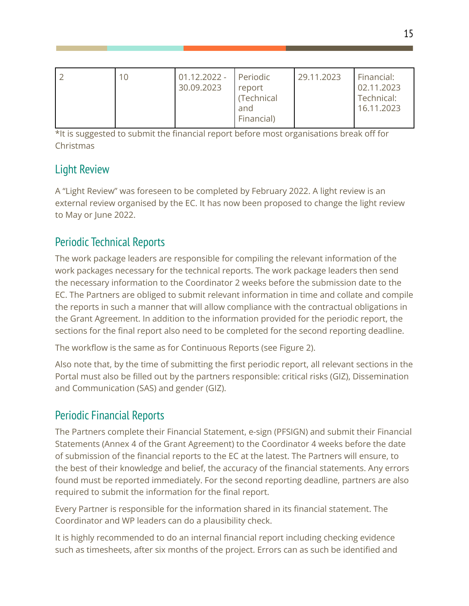| Financial) |
|------------|
|------------|

\*It is suggested to submit the financial report before most organisations break off for Christmas

## <span id="page-15-0"></span>Light Review

A "Light Review" was foreseen to be completed by February 2022. A light review is an external review organised by the EC. It has now been proposed to change the light review to May or June 2022.

# <span id="page-15-1"></span>Periodic Technical Reports

The work package leaders are responsible for compiling the relevant information of the work packages necessary for the technical reports. The work package leaders then send the necessary information to the Coordinator 2 weeks before the submission date to the EC. The Partners are obliged to submit relevant information in time and collate and compile the reports in such a manner that will allow compliance with the contractual obligations in the Grant Agreement. In addition to the information provided for the periodic report, the sections for the final report also need to be completed for the second reporting deadline.

The workflow is the same as for Continuous Reports (see Figure 2).

Also note that, by the time of submitting the first periodic report, all relevant sections in the Portal must also be filled out by the partners responsible: critical risks (GIZ), Dissemination and Communication (SAS) and gender (GIZ).

## <span id="page-15-2"></span>Periodic Financial Reports

The Partners complete their Financial Statement, e-sign (PFSIGN) and submit their Financial Statements (Annex 4 of the Grant Agreement) to the Coordinator 4 weeks before the date of submission of the financial reports to the EC at the latest. The Partners will ensure, to the best of their knowledge and belief, the accuracy of the financial statements. Any errors found must be reported immediately. For the second reporting deadline, partners are also required to submit the information for the final report.

Every Partner is responsible for the information shared in its financial statement. The Coordinator and WP leaders can do a plausibility check.

It is highly recommended to do an internal financial report including checking evidence such as timesheets, after six months of the project. Errors can as such be identified and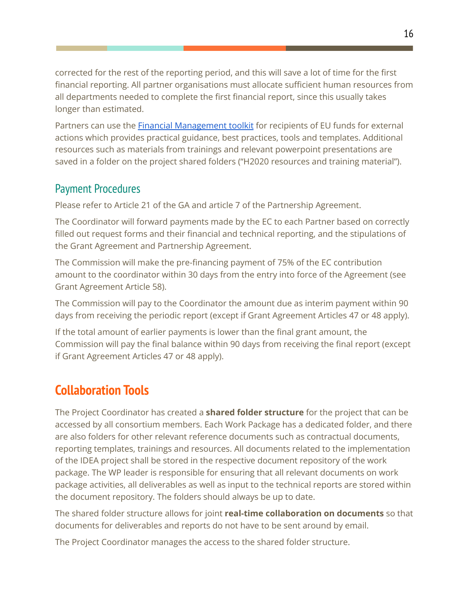corrected for the rest of the reporting period, and this will save a lot of time for the first financial reporting. All partner organisations must allocate sufficient human resources from all departments needed to complete the first financial report, since this usually takes longer than estimated.

Partners can use the **Financial [Management](https://ec.europa.eu/international-partnerships/financial-management-toolkit_en) toolkit** for recipients of EU funds for external actions which provides practical guidance, best practices, tools and templates. Additional resources such as materials from trainings and relevant powerpoint presentations are saved in a folder on the project shared folders ("H2020 resources and training material").

#### <span id="page-16-0"></span>Payment Procedures

Please refer to Article 21 of the GA and article 7 of the Partnership Agreement.

The Coordinator will forward payments made by the EC to each Partner based on correctly filled out request forms and their financial and technical reporting, and the stipulations of the Grant Agreement and Partnership Agreement.

The Commission will make the pre-financing payment of 75% of the EC contribution amount to the coordinator within 30 days from the entry into force of the Agreement (see Grant Agreement Article 58).

The Commission will pay to the Coordinator the amount due as interim payment within 90 days from receiving the periodic report (except if Grant Agreement Articles 47 or 48 apply).

If the total amount of earlier payments is lower than the final grant amount, the Commission will pay the final balance within 90 days from receiving the final report (except if Grant Agreement Articles 47 or 48 apply).

# <span id="page-16-1"></span>**Collaboration Tools**

The Project Coordinator has created a **shared folder structure** for the project that can be accessed by all consortium members. Each Work Package has a dedicated folder, and there are also folders for other relevant reference documents such as contractual documents, reporting templates, trainings and resources. All documents related to the implementation of the IDEA project shall be stored in the respective document repository of the work package. The WP leader is responsible for ensuring that all relevant documents on work package activities, all deliverables as well as input to the technical reports are stored within the document repository. The folders should always be up to date.

The shared folder structure allows for joint **real-time collaboration on documents** so that documents for deliverables and reports do not have to be sent around by email.

The Project Coordinator manages the access to the shared folder structure.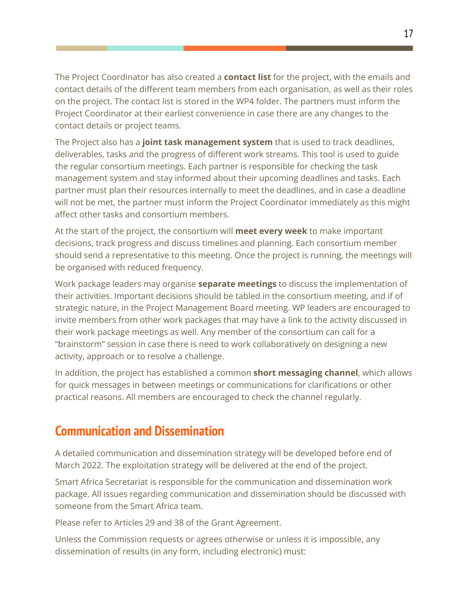The Project Coordinator has also created a **contact list** for the project, with the emails and contact details of the different team members from each organisation, as well as their roles on the project. The contact list is stored in the WP4 folder. The partners must inform the Project Coordinator at their earliest convenience in case there are any changes to the contact details or project teams.

The Project also has a **joint task management system** that is used to track deadlines, deliverables, tasks and the progress of different work streams. This tool is used to guide the regular consortium meetings. Each partner is responsible for checking the task management system and stay informed about their upcoming deadlines and tasks. Each partner must plan their resources internally to meet the deadlines, and in case a deadline will not be met, the partner must inform the Project Coordinator immediately as this might affect other tasks and consortium members.

At the start of the project, the consortium will **meet every week** to make important decisions, track progress and discuss timelines and planning. Each consortium member should send a representative to this meeting. Once the project is running, the meetings will be organised with reduced frequency.

Work package leaders may organise **separate meetings** to discuss the implementation of their activities. Important decisions should be tabled in the consortium meeting, and if of strategic nature, in the Project Management Board meeting. WP leaders are encouraged to invite members from other work packages that may have a link to the activity discussed in their work package meetings as well. Any member of the consortium can call for a "brainstorm" session in case there is need to work collaboratively on designing a new activity, approach or to resolve a challenge.

In addition, the project has established a common **short messaging channel**, which allows for quick messages in between meetings or communications for clarifications or other practical reasons. All members are encouraged to check the channel regularly.

# <span id="page-17-0"></span>**Communication and Dissemination**

A detailed communication and dissemination strategy will be developed before end of March 2022. The exploitation strategy will be delivered at the end of the project.

Smart Africa Secretariat is responsible for the communication and dissemination work package. All issues regarding communication and dissemination should be discussed with someone from the Smart Africa team.

Please refer to Articles 29 and 38 of the Grant Agreement.

Unless the Commission requests or agrees otherwise or unless it is impossible, any dissemination of results (in any form, including electronic) must: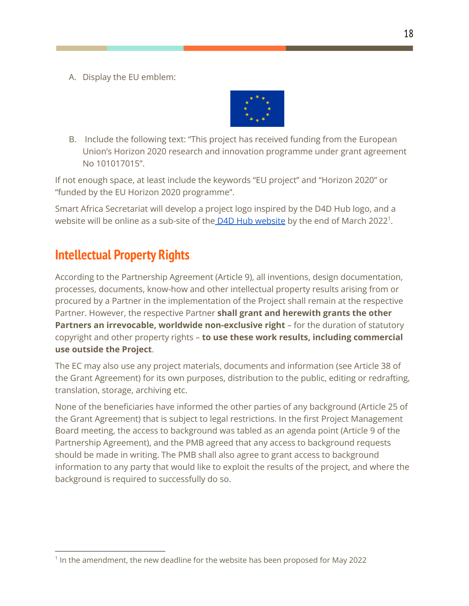A. Display the EU emblem:



B. Include the following text: "This project has received funding from the European Union's Horizon 2020 research and innovation programme under grant agreement No 101017015".

If not enough space, at least include the keywords "EU project" and "Horizon 2020" or "funded by the EU Horizon 2020 programme".

Smart Africa Secretariat will develop a project logo inspired by the D4D Hub logo, and a [website](https://d4dhub.eu/) will be online as a sub-site of the D4D Hub website by the end of March 2022<sup>1</sup>.

# <span id="page-18-0"></span>**Intellectual Property Rights**

According to the Partnership Agreement (Article 9), all inventions, design documentation, processes, documents, know-how and other intellectual property results arising from or procured by a Partner in the implementation of the Project shall remain at the respective Partner. However, the respective Partner **shall grant and herewith grants the other Partners an irrevocable, worldwide non-exclusive right** – for the duration of statutory copyright and other property rights – **to use these work results, including commercial use outside the Project**.

The EC may also use any project materials, documents and information (see Article 38 of the Grant Agreement) for its own purposes, distribution to the public, editing or redrafting, translation, storage, archiving etc.

None of the beneficiaries have informed the other parties of any background (Article 25 of the Grant Agreement) that is subject to legal restrictions. In the first Project Management Board meeting, the access to background was tabled as an agenda point (Article 9 of the Partnership Agreement), and the PMB agreed that any access to background requests should be made in writing. The PMB shall also agree to grant access to background information to any party that would like to exploit the results of the project, and where the background is required to successfully do so.

<sup>&</sup>lt;sup>1</sup> In the amendment, the new deadline for the website has been proposed for May 2022